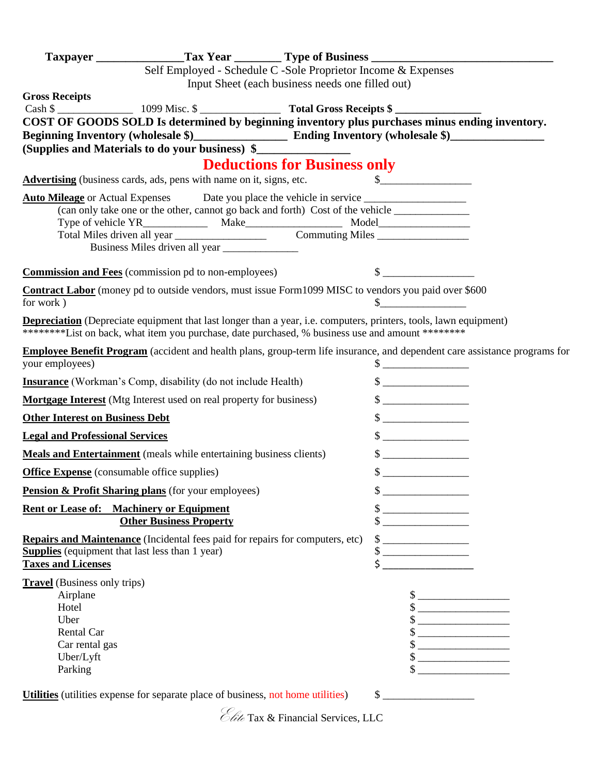|                                        | Self Employed - Schedule C -Sole Proprietor Income & Expenses                                                                                                                                                                  |                                                  |                                                                                                                                                                                                                                                                                                                                                                                                                                                                                                            |  |
|----------------------------------------|--------------------------------------------------------------------------------------------------------------------------------------------------------------------------------------------------------------------------------|--------------------------------------------------|------------------------------------------------------------------------------------------------------------------------------------------------------------------------------------------------------------------------------------------------------------------------------------------------------------------------------------------------------------------------------------------------------------------------------------------------------------------------------------------------------------|--|
| <b>Gross Receipts</b>                  |                                                                                                                                                                                                                                | Input Sheet (each business needs one filled out) |                                                                                                                                                                                                                                                                                                                                                                                                                                                                                                            |  |
|                                        |                                                                                                                                                                                                                                |                                                  |                                                                                                                                                                                                                                                                                                                                                                                                                                                                                                            |  |
|                                        | COST OF GOODS SOLD Is determined by beginning inventory plus purchases minus ending inventory.                                                                                                                                 |                                                  |                                                                                                                                                                                                                                                                                                                                                                                                                                                                                                            |  |
|                                        |                                                                                                                                                                                                                                |                                                  |                                                                                                                                                                                                                                                                                                                                                                                                                                                                                                            |  |
|                                        | (Supplies and Materials to do your business) \$                                                                                                                                                                                |                                                  |                                                                                                                                                                                                                                                                                                                                                                                                                                                                                                            |  |
|                                        |                                                                                                                                                                                                                                | <b>Deductions for Business only</b>              |                                                                                                                                                                                                                                                                                                                                                                                                                                                                                                            |  |
|                                        | Advertising (business cards, ads, pens with name on it, signs, etc.                                                                                                                                                            |                                                  | $\begin{picture}(20,10) \put(0,0){\vector(1,0){10}} \put(15,0){\vector(1,0){10}} \put(15,0){\vector(1,0){10}} \put(15,0){\vector(1,0){10}} \put(15,0){\vector(1,0){10}} \put(15,0){\vector(1,0){10}} \put(15,0){\vector(1,0){10}} \put(15,0){\vector(1,0){10}} \put(15,0){\vector(1,0){10}} \put(15,0){\vector(1,0){10}} \put(15,0){\vector(1,0){10}} \put(15,0){\vector(1$                                                                                                                                |  |
|                                        | (can only take one or the other, cannot go back and forth) Cost of the vehicle ____________________                                                                                                                            |                                                  |                                                                                                                                                                                                                                                                                                                                                                                                                                                                                                            |  |
|                                        |                                                                                                                                                                                                                                |                                                  |                                                                                                                                                                                                                                                                                                                                                                                                                                                                                                            |  |
|                                        |                                                                                                                                                                                                                                |                                                  |                                                                                                                                                                                                                                                                                                                                                                                                                                                                                                            |  |
|                                        |                                                                                                                                                                                                                                |                                                  |                                                                                                                                                                                                                                                                                                                                                                                                                                                                                                            |  |
|                                        | <b>Commission and Fees</b> (commission pd to non-employees)                                                                                                                                                                    |                                                  | $\sim$                                                                                                                                                                                                                                                                                                                                                                                                                                                                                                     |  |
| for work)                              | Contract Labor (money pd to outside vendors, must issue Form1099 MISC to vendors you paid over \$600                                                                                                                           |                                                  | $\sim$                                                                                                                                                                                                                                                                                                                                                                                                                                                                                                     |  |
|                                        | <b>Depreciation</b> (Depreciate equipment that last longer than a year, i.e. computers, printers, tools, lawn equipment)<br>*********List on back, what item you purchase, date purchased, % business use and amount ********* |                                                  |                                                                                                                                                                                                                                                                                                                                                                                                                                                                                                            |  |
| your employees)                        | <b>Employee Benefit Program</b> (accident and health plans, group-term life insurance, and dependent care assistance programs for                                                                                              |                                                  | $\frac{1}{2}$                                                                                                                                                                                                                                                                                                                                                                                                                                                                                              |  |
|                                        | <b>Insurance</b> (Workman's Comp, disability (do not include Health)                                                                                                                                                           |                                                  | $\frac{\text{S}}{\text{S}}$                                                                                                                                                                                                                                                                                                                                                                                                                                                                                |  |
|                                        | <b>Mortgage Interest</b> (Mtg Interest used on real property for business)                                                                                                                                                     |                                                  | $\frac{1}{2}$ $\frac{1}{2}$ $\frac{1}{2}$ $\frac{1}{2}$ $\frac{1}{2}$ $\frac{1}{2}$ $\frac{1}{2}$ $\frac{1}{2}$ $\frac{1}{2}$ $\frac{1}{2}$ $\frac{1}{2}$ $\frac{1}{2}$ $\frac{1}{2}$ $\frac{1}{2}$ $\frac{1}{2}$ $\frac{1}{2}$ $\frac{1}{2}$ $\frac{1}{2}$ $\frac{1}{2}$ $\frac{1}{2}$ $\frac{1}{2}$ $\frac{1}{2}$                                                                                                                                                                                        |  |
| <b>Other Interest on Business Debt</b> |                                                                                                                                                                                                                                |                                                  | $\frac{\text{S}}{\text{S}}$                                                                                                                                                                                                                                                                                                                                                                                                                                                                                |  |
| <b>Legal and Professional Services</b> |                                                                                                                                                                                                                                |                                                  | $\frac{\text{S}}{\text{S}}$                                                                                                                                                                                                                                                                                                                                                                                                                                                                                |  |
|                                        | <b>Meals and Entertainment</b> (meals while entertaining business clients)                                                                                                                                                     |                                                  | $\sim$                                                                                                                                                                                                                                                                                                                                                                                                                                                                                                     |  |
|                                        | <b>Office Expense</b> (consumable office supplies)                                                                                                                                                                             |                                                  | $\sim$                                                                                                                                                                                                                                                                                                                                                                                                                                                                                                     |  |
|                                        | <b>Pension &amp; Profit Sharing plans</b> (for your employees)                                                                                                                                                                 |                                                  | $\mathbb{S}^-$                                                                                                                                                                                                                                                                                                                                                                                                                                                                                             |  |
|                                        | <b>Rent or Lease of: Machinery or Equipment</b>                                                                                                                                                                                |                                                  |                                                                                                                                                                                                                                                                                                                                                                                                                                                                                                            |  |
|                                        | <b>Other Business Property</b>                                                                                                                                                                                                 |                                                  | $\frac{\text{S}}{\text{S}}$<br>$\frac{1}{1}$                                                                                                                                                                                                                                                                                                                                                                                                                                                               |  |
|                                        | <b>Repairs and Maintenance</b> (Incidental fees paid for repairs for computers, etc)                                                                                                                                           |                                                  | $\frac{1}{1}$                                                                                                                                                                                                                                                                                                                                                                                                                                                                                              |  |
|                                        | <b>Supplies</b> (equipment that last less than 1 year)                                                                                                                                                                         |                                                  | $\qquad \qquad \, \text{\bf $s$}\; \underline{\hspace{10mm}} \qquad \qquad \, \text{\bf $s$}\; \underline{\hspace{15mm}} \qquad \qquad \, \text{\bf $s$}\; \underline{\hspace{15mm}} \qquad \qquad \, \text{\bf $s$}\; \underline{\hspace{15mm}} \qquad \qquad \, \text{\bf $s$}\; \underline{\hspace{15mm}} \qquad \qquad \, \text{\bf $s$}\; \underline{\hspace{15mm}} \qquad \qquad \, \text{\bf $s$}\; \underline{\hspace{15mm}} \qquad \qquad \, \text{\bf $s$}\; \underline{\hspace{15mm}} \qquad \$ |  |
| <b>Taxes and Licenses</b>              |                                                                                                                                                                                                                                |                                                  | $\begin{picture}(20,10) \put(0,0){\line(1,0){10}} \put(15,0){\line(1,0){10}} \put(15,0){\line(1,0){10}} \put(15,0){\line(1,0){10}} \put(15,0){\line(1,0){10}} \put(15,0){\line(1,0){10}} \put(15,0){\line(1,0){10}} \put(15,0){\line(1,0){10}} \put(15,0){\line(1,0){10}} \put(15,0){\line(1,0){10}} \put(15,0){\line(1,0){10}} \put(15,0){\line(1$                                                                                                                                                        |  |
| <b>Travel</b> (Business only trips)    |                                                                                                                                                                                                                                |                                                  |                                                                                                                                                                                                                                                                                                                                                                                                                                                                                                            |  |
| Airplane                               |                                                                                                                                                                                                                                |                                                  | $\frac{\text{S}}{\text{S}}$                                                                                                                                                                                                                                                                                                                                                                                                                                                                                |  |
| Hotel<br>Uber                          |                                                                                                                                                                                                                                |                                                  | $\frac{\text{S}}{\text{S}}$                                                                                                                                                                                                                                                                                                                                                                                                                                                                                |  |
| Rental Car                             |                                                                                                                                                                                                                                |                                                  | $\frac{\text{S}}{\text{S}}$<br>$\frac{\text{S}}{\text{S}}$                                                                                                                                                                                                                                                                                                                                                                                                                                                 |  |
| Car rental gas                         |                                                                                                                                                                                                                                |                                                  | $\frac{\text{S}}{\text{S}}$                                                                                                                                                                                                                                                                                                                                                                                                                                                                                |  |
| Uber/Lyft                              |                                                                                                                                                                                                                                |                                                  | $\frac{\text{S}}{\text{S}}$                                                                                                                                                                                                                                                                                                                                                                                                                                                                                |  |
| Parking                                |                                                                                                                                                                                                                                |                                                  | $\sim$                                                                                                                                                                                                                                                                                                                                                                                                                                                                                                     |  |
|                                        | Utilities (utilities expense for separate place of business, not home utilities)                                                                                                                                               |                                                  | $\frac{1}{2}$                                                                                                                                                                                                                                                                                                                                                                                                                                                                                              |  |

Elite Tax & Financial Services, LLC